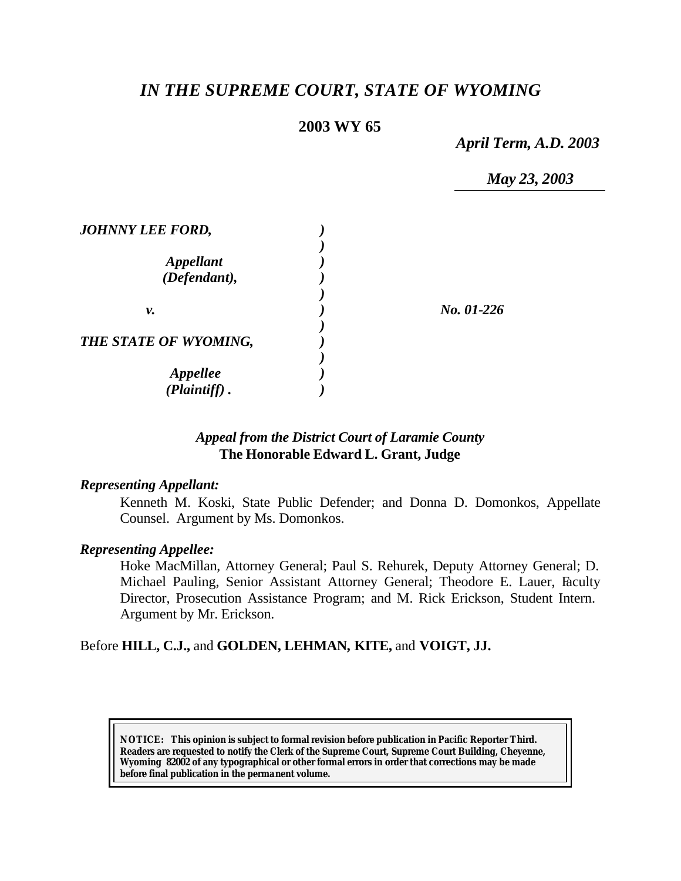# *IN THE SUPREME COURT, STATE OF WYOMING*

## **2003 WY 65**

*April Term, A.D. 2003*

*May 23, 2003*

| No. 01-226 |
|------------|
|            |
|            |
|            |

### *Appeal from the District Court of Laramie County* **The Honorable Edward L. Grant, Judge**

#### *Representing Appellant:*

Kenneth M. Koski, State Public Defender; and Donna D. Domonkos, Appellate Counsel. Argument by Ms. Domonkos.

#### *Representing Appellee:*

Hoke MacMillan, Attorney General; Paul S. Rehurek, Deputy Attorney General; D. Michael Pauling, Senior Assistant Attorney General; Theodore E. Lauer, Faculty Director, Prosecution Assistance Program; and M. Rick Erickson, Student Intern. Argument by Mr. Erickson.

#### Before **HILL, C.J.,** and **GOLDEN, LEHMAN, KITE,** and **VOIGT, JJ.**

**NOTICE:** *This opinion is subject to formal revision before publication in Pacific Reporter Third. Readers are requested to notify the Clerk of the Supreme Court, Supreme Court Building, Cheyenne, Wyoming 82002 of any typographical or other formal errors in order that corrections may be made before final publication in the permanent volume.*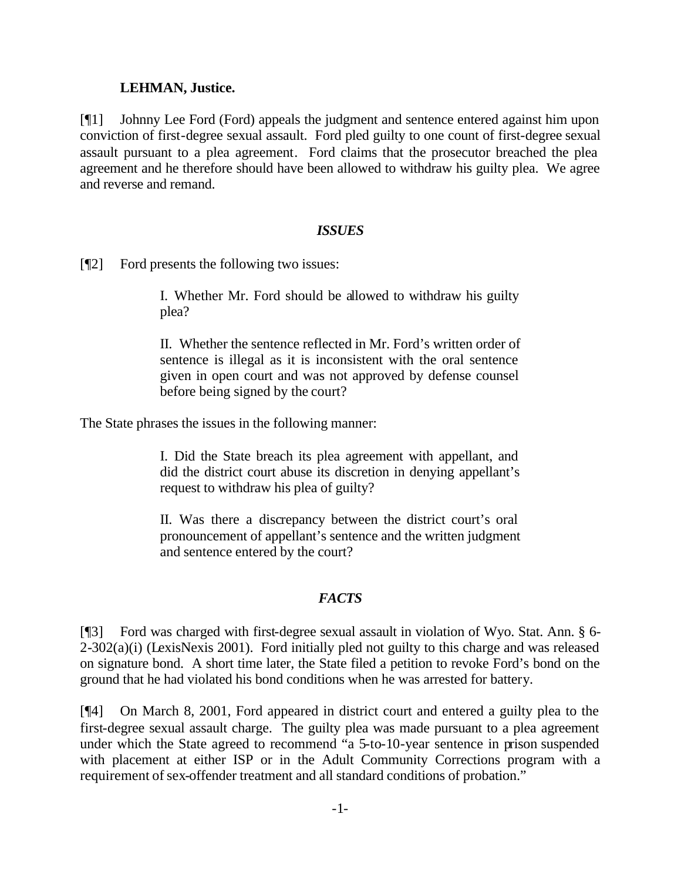#### **LEHMAN, Justice.**

[¶1] Johnny Lee Ford (Ford) appeals the judgment and sentence entered against him upon conviction of first-degree sexual assault. Ford pled guilty to one count of first-degree sexual assault pursuant to a plea agreement. Ford claims that the prosecutor breached the plea agreement and he therefore should have been allowed to withdraw his guilty plea. We agree and reverse and remand.

#### *ISSUES*

[¶2] Ford presents the following two issues:

I. Whether Mr. Ford should be allowed to withdraw his guilty plea?

II. Whether the sentence reflected in Mr. Ford's written order of sentence is illegal as it is inconsistent with the oral sentence given in open court and was not approved by defense counsel before being signed by the court?

The State phrases the issues in the following manner:

I. Did the State breach its plea agreement with appellant, and did the district court abuse its discretion in denying appellant's request to withdraw his plea of guilty?

II. Was there a discrepancy between the district court's oral pronouncement of appellant's sentence and the written judgment and sentence entered by the court?

#### *FACTS*

[¶3] Ford was charged with first-degree sexual assault in violation of Wyo. Stat. Ann. § 6-  $2-302(a)(i)$  (LexisNexis 2001). Ford initially pled not guilty to this charge and was released on signature bond. A short time later, the State filed a petition to revoke Ford's bond on the ground that he had violated his bond conditions when he was arrested for battery.

[¶4] On March 8, 2001, Ford appeared in district court and entered a guilty plea to the first-degree sexual assault charge. The guilty plea was made pursuant to a plea agreement under which the State agreed to recommend "a 5-to-10-year sentence in prison suspended with placement at either ISP or in the Adult Community Corrections program with a requirement of sex-offender treatment and all standard conditions of probation."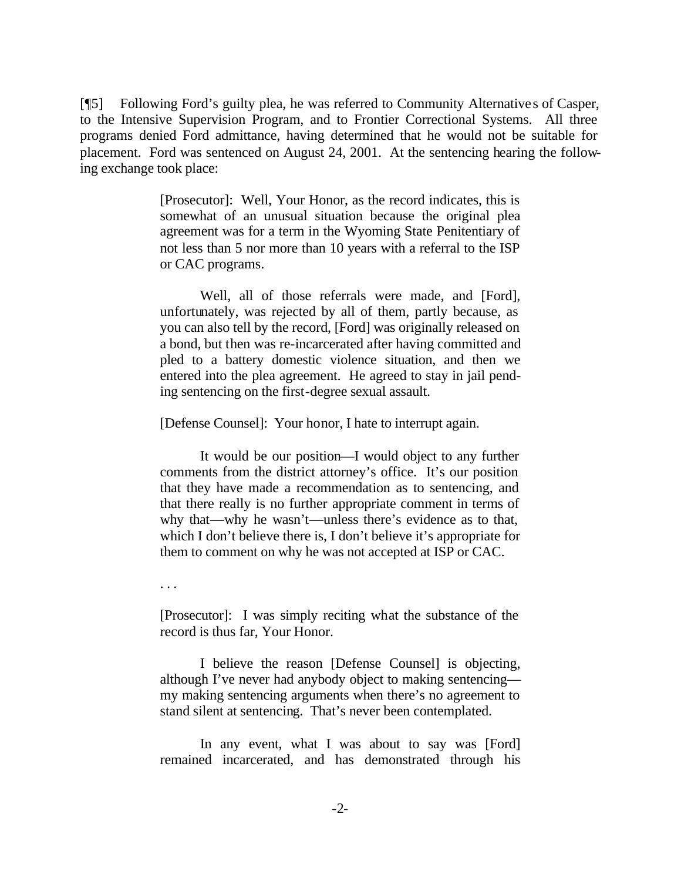[¶5] Following Ford's guilty plea, he was referred to Community Alternative s of Casper, to the Intensive Supervision Program, and to Frontier Correctional Systems. All three programs denied Ford admittance, having determined that he would not be suitable for placement. Ford was sentenced on August 24, 2001. At the sentencing hearing the following exchange took place:

> [Prosecutor]: Well, Your Honor, as the record indicates, this is somewhat of an unusual situation because the original plea agreement was for a term in the Wyoming State Penitentiary of not less than 5 nor more than 10 years with a referral to the ISP or CAC programs.

> Well, all of those referrals were made, and [Ford], unfortunately, was rejected by all of them, partly because, as you can also tell by the record, [Ford] was originally released on a bond, but then was re-incarcerated after having committed and pled to a battery domestic violence situation, and then we entered into the plea agreement. He agreed to stay in jail pending sentencing on the first-degree sexual assault.

[Defense Counsel]: Your honor, I hate to interrupt again.

It would be our position—I would object to any further comments from the district attorney's office. It's our position that they have made a recommendation as to sentencing, and that there really is no further appropriate comment in terms of why that—why he wasn't—unless there's evidence as to that, which I don't believe there is, I don't believe it's appropriate for them to comment on why he was not accepted at ISP or CAC.

. . .

[Prosecutor]: I was simply reciting what the substance of the record is thus far, Your Honor.

I believe the reason [Defense Counsel] is objecting, although I've never had anybody object to making sentencing my making sentencing arguments when there's no agreement to stand silent at sentencing. That's never been contemplated.

In any event, what I was about to say was [Ford] remained incarcerated, and has demonstrated through his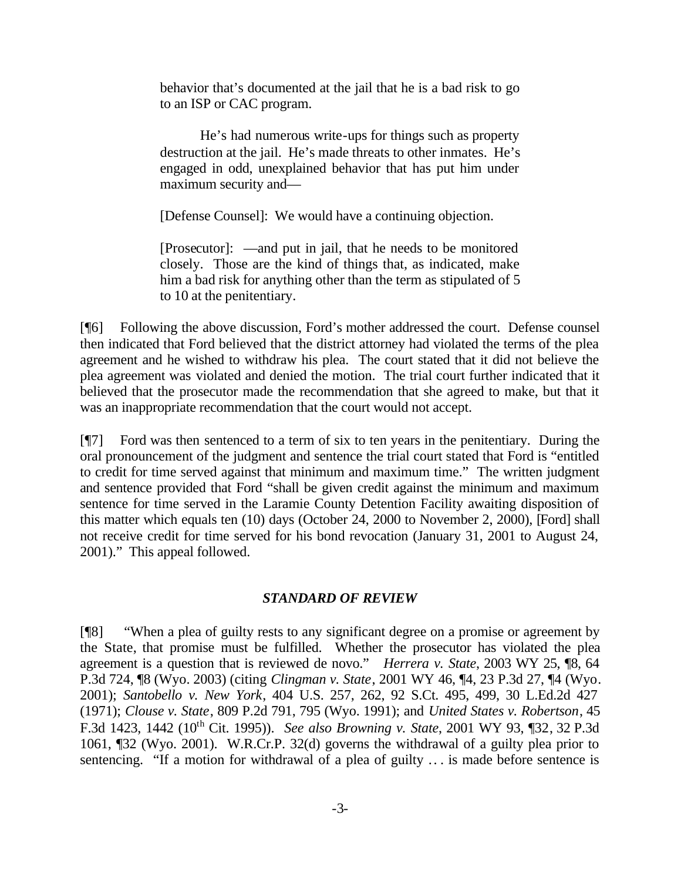behavior that's documented at the jail that he is a bad risk to go to an ISP or CAC program.

He's had numerous write-ups for things such as property destruction at the jail. He's made threats to other inmates. He's engaged in odd, unexplained behavior that has put him under maximum security and—

[Defense Counsel]: We would have a continuing objection.

[Prosecutor]: —and put in jail, that he needs to be monitored closely. Those are the kind of things that, as indicated, make him a bad risk for anything other than the term as stipulated of 5 to 10 at the penitentiary.

[¶6] Following the above discussion, Ford's mother addressed the court. Defense counsel then indicated that Ford believed that the district attorney had violated the terms of the plea agreement and he wished to withdraw his plea. The court stated that it did not believe the plea agreement was violated and denied the motion. The trial court further indicated that it believed that the prosecutor made the recommendation that she agreed to make, but that it was an inappropriate recommendation that the court would not accept.

[¶7] Ford was then sentenced to a term of six to ten years in the penitentiary. During the oral pronouncement of the judgment and sentence the trial court stated that Ford is "entitled to credit for time served against that minimum and maximum time." The written judgment and sentence provided that Ford "shall be given credit against the minimum and maximum sentence for time served in the Laramie County Detention Facility awaiting disposition of this matter which equals ten (10) days (October 24, 2000 to November 2, 2000), [Ford] shall not receive credit for time served for his bond revocation (January 31, 2001 to August 24, 2001)." This appeal followed.

#### *STANDARD OF REVIEW*

[¶8] "When a plea of guilty rests to any significant degree on a promise or agreement by the State, that promise must be fulfilled. Whether the prosecutor has violated the plea agreement is a question that is reviewed de novo." *Herrera v. State*, 2003 WY 25, ¶8, 64 P.3d 724, ¶8 (Wyo. 2003) (citing *Clingman v. State*, 2001 WY 46, ¶4, 23 P.3d 27, ¶4 (Wyo. 2001); *Santobello v. New York*, 404 U.S. 257, 262, 92 S.Ct. 495, 499, 30 L.Ed.2d 427 (1971); *Clouse v. State*, 809 P.2d 791, 795 (Wyo. 1991); and *United States v. Robertson*, 45 F.3d 1423, 1442 (10th Cit. 1995)). *See also Browning v. State*, 2001 WY 93, ¶32, 32 P.3d 1061, ¶32 (Wyo. 2001). W.R.Cr.P. 32(d) governs the withdrawal of a guilty plea prior to sentencing. "If a motion for withdrawal of a plea of guilty .. . is made before sentence is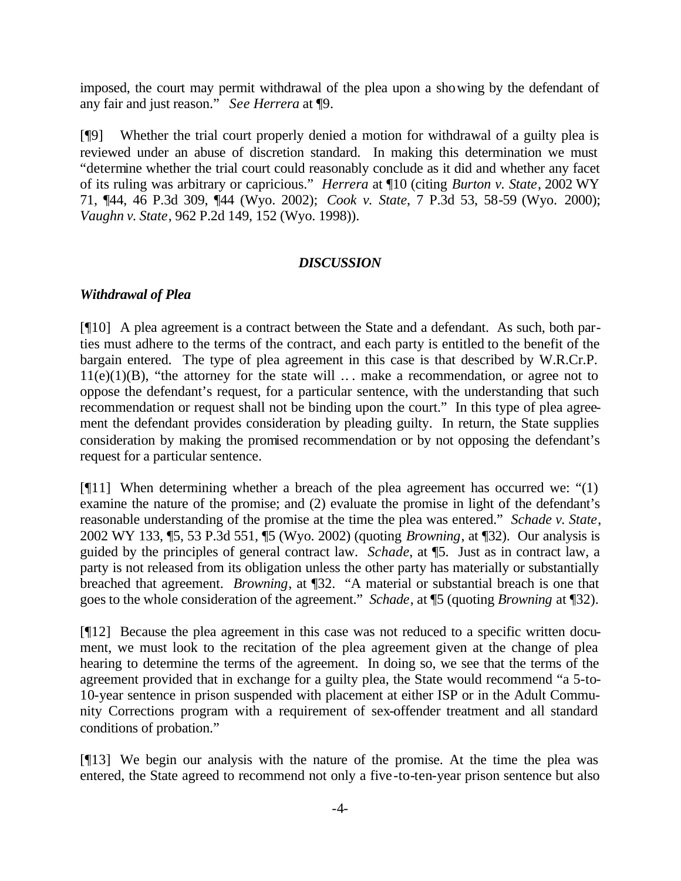imposed, the court may permit withdrawal of the plea upon a showing by the defendant of any fair and just reason." *See Herrera* at ¶9.

[¶9] Whether the trial court properly denied a motion for withdrawal of a guilty plea is reviewed under an abuse of discretion standard. In making this determination we must "determine whether the trial court could reasonably conclude as it did and whether any facet of its ruling was arbitrary or capricious." *Herrera* at ¶10 (citing *Burton v. State*, 2002 WY 71, ¶44, 46 P.3d 309, ¶44 (Wyo. 2002); *Cook v. State*, 7 P.3d 53, 58-59 (Wyo. 2000); *Vaughn v. State*, 962 P.2d 149, 152 (Wyo. 1998)).

#### *DISCUSSION*

## *Withdrawal of Plea*

[¶10] A plea agreement is a contract between the State and a defendant. As such, both parties must adhere to the terms of the contract, and each party is entitled to the benefit of the bargain entered. The type of plea agreement in this case is that described by W.R.Cr.P.  $11(e)(1)(B)$ , "the attorney for the state will ... make a recommendation, or agree not to oppose the defendant's request, for a particular sentence, with the understanding that such recommendation or request shall not be binding upon the court." In this type of plea agreement the defendant provides consideration by pleading guilty. In return, the State supplies consideration by making the promised recommendation or by not opposing the defendant's request for a particular sentence.

[¶11] When determining whether a breach of the plea agreement has occurred we: "(1) examine the nature of the promise; and (2) evaluate the promise in light of the defendant's reasonable understanding of the promise at the time the plea was entered." *Schade v. State*, 2002 WY 133, ¶5, 53 P.3d 551, ¶5 (Wyo. 2002) (quoting *Browning*, at ¶32). Our analysis is guided by the principles of general contract law. *Schade*, at ¶5. Just as in contract law, a party is not released from its obligation unless the other party has materially or substantially breached that agreement. *Browning*, at ¶32. "A material or substantial breach is one that goes to the whole consideration of the agreement." *Schade*, at ¶5 (quoting *Browning* at ¶32).

[¶12] Because the plea agreement in this case was not reduced to a specific written document, we must look to the recitation of the plea agreement given at the change of plea hearing to determine the terms of the agreement. In doing so, we see that the terms of the agreement provided that in exchange for a guilty plea, the State would recommend "a 5-to-10-year sentence in prison suspended with placement at either ISP or in the Adult Community Corrections program with a requirement of sex-offender treatment and all standard conditions of probation."

[¶13] We begin our analysis with the nature of the promise. At the time the plea was entered, the State agreed to recommend not only a five -to-ten-year prison sentence but also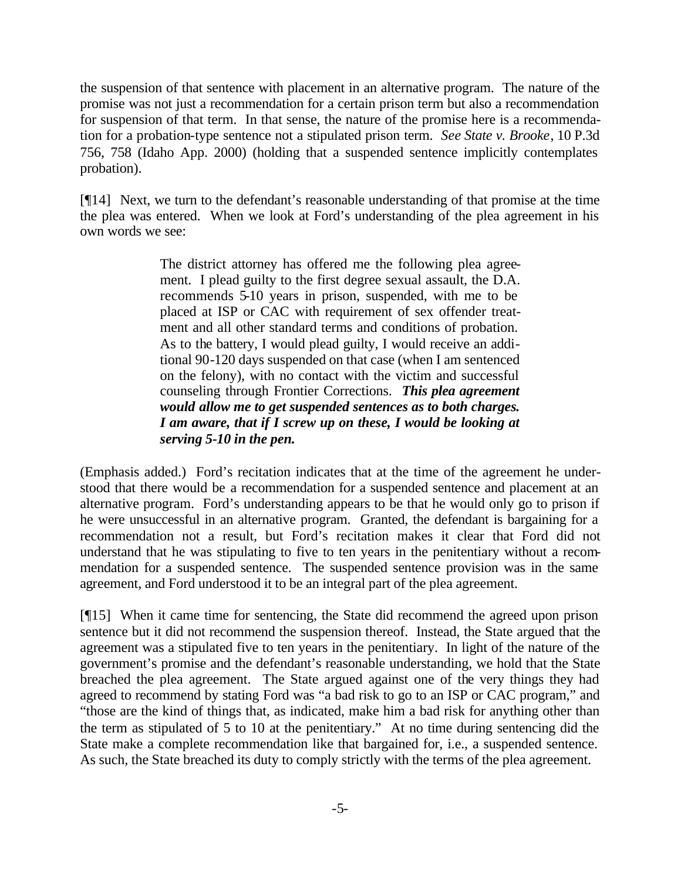the suspension of that sentence with placement in an alternative program. The nature of the promise was not just a recommendation for a certain prison term but also a recommendation for suspension of that term. In that sense, the nature of the promise here is a recommendation for a probation-type sentence not a stipulated prison term. *See State v. Brooke*, 10 P.3d 756, 758 (Idaho App. 2000) (holding that a suspended sentence implicitly contemplates probation).

[¶14] Next, we turn to the defendant's reasonable understanding of that promise at the time the plea was entered. When we look at Ford's understanding of the plea agreement in his own words we see:

> The district attorney has offered me the following plea agreement. I plead guilty to the first degree sexual assault, the D.A. recommends 5-10 years in prison, suspended, with me to be placed at ISP or CAC with requirement of sex offender treatment and all other standard terms and conditions of probation. As to the battery, I would plead guilty, I would receive an additional 90-120 days suspended on that case (when I am sentenced on the felony), with no contact with the victim and successful counseling through Frontier Corrections. *This plea agreement would allow me to get suspended sentences as to both charges. I am aware, that if I screw up on these, I would be looking at serving 5-10 in the pen.*

(Emphasis added.) Ford's recitation indicates that at the time of the agreement he understood that there would be a recommendation for a suspended sentence and placement at an alternative program. Ford's understanding appears to be that he would only go to prison if he were unsuccessful in an alternative program. Granted, the defendant is bargaining for a recommendation not a result, but Ford's recitation makes it clear that Ford did not understand that he was stipulating to five to ten years in the penitentiary without a recommendation for a suspended sentence. The suspended sentence provision was in the same agreement, and Ford understood it to be an integral part of the plea agreement.

[¶15] When it came time for sentencing, the State did recommend the agreed upon prison sentence but it did not recommend the suspension thereof. Instead, the State argued that the agreement was a stipulated five to ten years in the penitentiary. In light of the nature of the government's promise and the defendant's reasonable understanding, we hold that the State breached the plea agreement. The State argued against one of the very things they had agreed to recommend by stating Ford was "a bad risk to go to an ISP or CAC program," and "those are the kind of things that, as indicated, make him a bad risk for anything other than the term as stipulated of 5 to 10 at the penitentiary." At no time during sentencing did the State make a complete recommendation like that bargained for, i.e., a suspended sentence. As such, the State breached its duty to comply strictly with the terms of the plea agreement.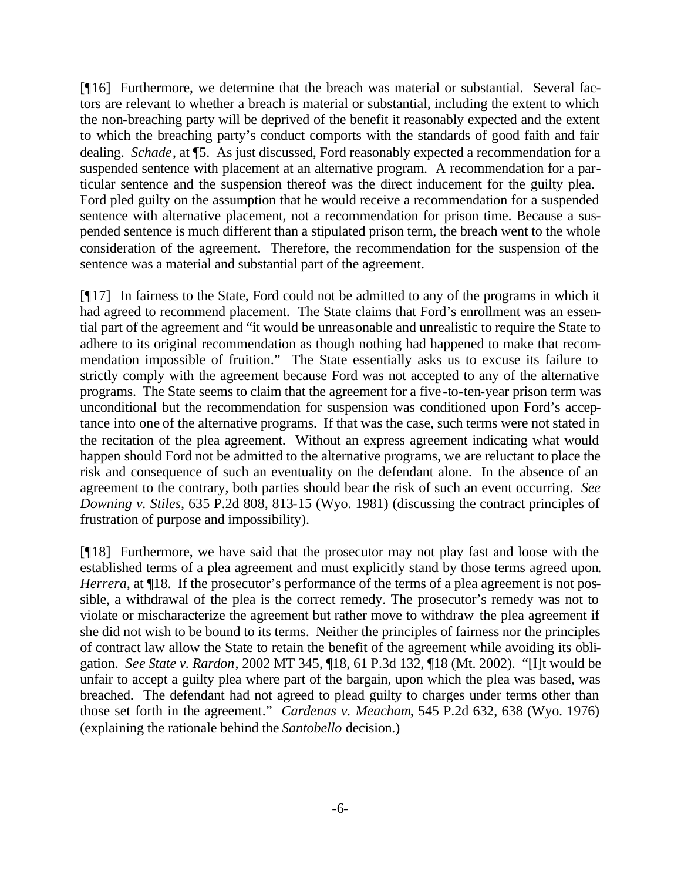[¶16] Furthermore, we determine that the breach was material or substantial. Several factors are relevant to whether a breach is material or substantial, including the extent to which the non-breaching party will be deprived of the benefit it reasonably expected and the extent to which the breaching party's conduct comports with the standards of good faith and fair dealing. *Schade*, at ¶5. As just discussed, Ford reasonably expected a recommendation for a suspended sentence with placement at an alternative program. A recommendation for a particular sentence and the suspension thereof was the direct inducement for the guilty plea. Ford pled guilty on the assumption that he would receive a recommendation for a suspended sentence with alternative placement, not a recommendation for prison time. Because a suspended sentence is much different than a stipulated prison term, the breach went to the whole consideration of the agreement. Therefore, the recommendation for the suspension of the sentence was a material and substantial part of the agreement.

[¶17] In fairness to the State, Ford could not be admitted to any of the programs in which it had agreed to recommend placement. The State claims that Ford's enrollment was an essential part of the agreement and "it would be unreasonable and unrealistic to require the State to adhere to its original recommendation as though nothing had happened to make that recommendation impossible of fruition." The State essentially asks us to excuse its failure to strictly comply with the agreement because Ford was not accepted to any of the alternative programs. The State seems to claim that the agreement for a five-to-ten-year prison term was unconditional but the recommendation for suspension was conditioned upon Ford's acceptance into one of the alternative programs. If that was the case, such terms were not stated in the recitation of the plea agreement. Without an express agreement indicating what would happen should Ford not be admitted to the alternative programs, we are reluctant to place the risk and consequence of such an eventuality on the defendant alone. In the absence of an agreement to the contrary, both parties should bear the risk of such an event occurring. *See Downing v. Stiles*, 635 P.2d 808, 813-15 (Wyo. 1981) (discussing the contract principles of frustration of purpose and impossibility).

[¶18] Furthermore, we have said that the prosecutor may not play fast and loose with the established terms of a plea agreement and must explicitly stand by those terms agreed upon. *Herrera*, at  $\P$ 18. If the prosecutor's performance of the terms of a plea agreement is not possible, a withdrawal of the plea is the correct remedy. The prosecutor's remedy was not to violate or mischaracterize the agreement but rather move to withdraw the plea agreement if she did not wish to be bound to its terms. Neither the principles of fairness nor the principles of contract law allow the State to retain the benefit of the agreement while avoiding its obligation. *See State v. Rardon*, 2002 MT 345, ¶18, 61 P.3d 132, ¶18 (Mt. 2002). "[I]t would be unfair to accept a guilty plea where part of the bargain, upon which the plea was based, was breached. The defendant had not agreed to plead guilty to charges under terms other than those set forth in the agreement*.*" *Cardenas v. Meacham*, 545 P.2d 632, 638 (Wyo. 1976) (explaining the rationale behind the *Santobello* decision.)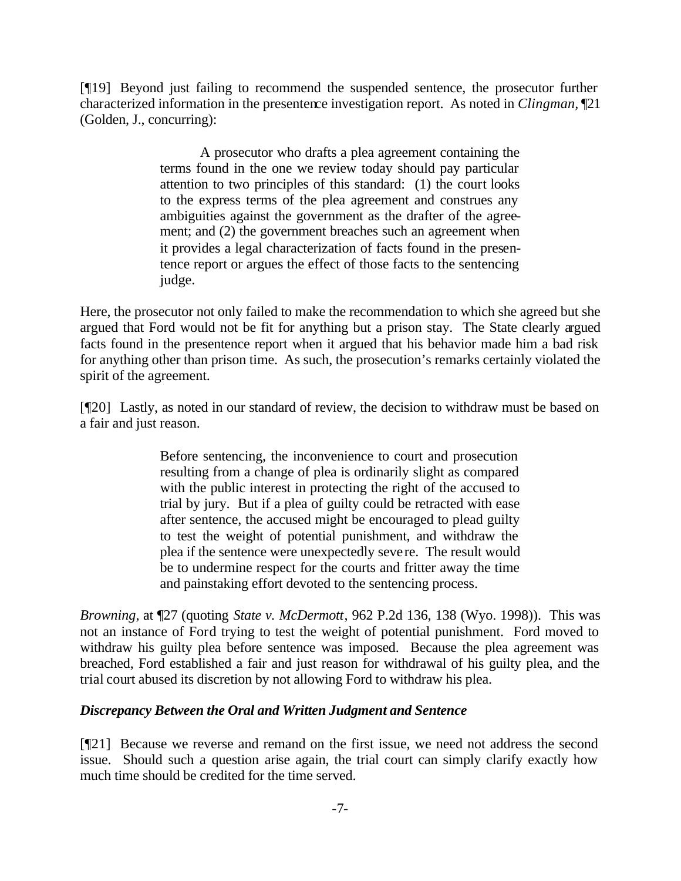[¶19] Beyond just failing to recommend the suspended sentence, the prosecutor further characterized information in the presentence investigation report. As noted in *Clingman,* ¶21 (Golden, J., concurring):

> A prosecutor who drafts a plea agreement containing the terms found in the one we review today should pay particular attention to two principles of this standard: (1) the court looks to the express terms of the plea agreement and construes any ambiguities against the government as the drafter of the agreement; and (2) the government breaches such an agreement when it provides a legal characterization of facts found in the presentence report or argues the effect of those facts to the sentencing judge.

Here, the prosecutor not only failed to make the recommendation to which she agreed but she argued that Ford would not be fit for anything but a prison stay. The State clearly argued facts found in the presentence report when it argued that his behavior made him a bad risk for anything other than prison time. As such, the prosecution's remarks certainly violated the spirit of the agreement.

[¶20] Lastly, as noted in our standard of review, the decision to withdraw must be based on a fair and just reason.

> Before sentencing, the inconvenience to court and prosecution resulting from a change of plea is ordinarily slight as compared with the public interest in protecting the right of the accused to trial by jury. But if a plea of guilty could be retracted with ease after sentence, the accused might be encouraged to plead guilty to test the weight of potential punishment, and withdraw the plea if the sentence were unexpectedly severe. The result would be to undermine respect for the courts and fritter away the time and painstaking effort devoted to the sentencing process.

*Browning*, at ¶27 (quoting *State v. McDermott*, 962 P.2d 136, 138 (Wyo. 1998)). This was not an instance of Ford trying to test the weight of potential punishment. Ford moved to withdraw his guilty plea before sentence was imposed. Because the plea agreement was breached, Ford established a fair and just reason for withdrawal of his guilty plea, and the trial court abused its discretion by not allowing Ford to withdraw his plea.

## *Discrepancy Between the Oral and Written Judgment and Sentence*

[¶21] Because we reverse and remand on the first issue, we need not address the second issue. Should such a question arise again, the trial court can simply clarify exactly how much time should be credited for the time served.